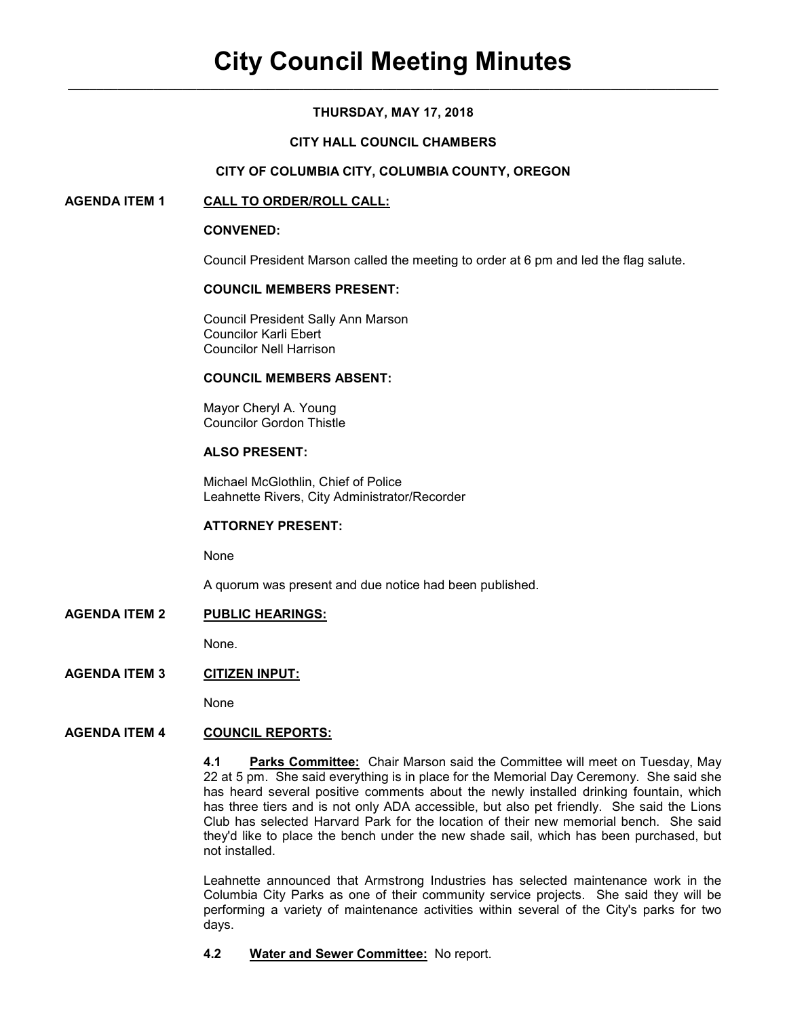# **THURSDAY, MAY 17, 2018**

# **CITY HALL COUNCIL CHAMBERS**

## **CITY OF COLUMBIA CITY, COLUMBIA COUNTY, OREGON**

# **AGENDA ITEM 1 CALL TO ORDER/ROLL CALL:**

#### **CONVENED:**

Council President Marson called the meeting to order at 6 pm and led the flag salute.

## **COUNCIL MEMBERS PRESENT:**

 Council President Sally Ann Marson Councilor Karli Ebert Councilor Nell Harrison

# **COUNCIL MEMBERS ABSENT:**

 Mayor Cheryl A. Young Councilor Gordon Thistle

# **ALSO PRESENT:**

Michael McGlothlin, Chief of Police Leahnette Rivers, City Administrator/Recorder

#### **ATTORNEY PRESENT:**

None

A quorum was present and due notice had been published.

**AGENDA ITEM 2 PUBLIC HEARINGS:**

None.

## **AGENDA ITEM 3 CITIZEN INPUT:**

None

#### **AGENDA ITEM 4 COUNCIL REPORTS:**

**4.1 Parks Committee:** Chair Marson said the Committee will meet on Tuesday, May 22 at 5 pm. She said everything is in place for the Memorial Day Ceremony. She said she has heard several positive comments about the newly installed drinking fountain, which has three tiers and is not only ADA accessible, but also pet friendly. She said the Lions Club has selected Harvard Park for the location of their new memorial bench. She said they'd like to place the bench under the new shade sail, which has been purchased, but not installed.

Leahnette announced that Armstrong Industries has selected maintenance work in the Columbia City Parks as one of their community service projects. She said they will be performing a variety of maintenance activities within several of the City's parks for two days.

# **4.2 Water and Sewer Committee:** No report.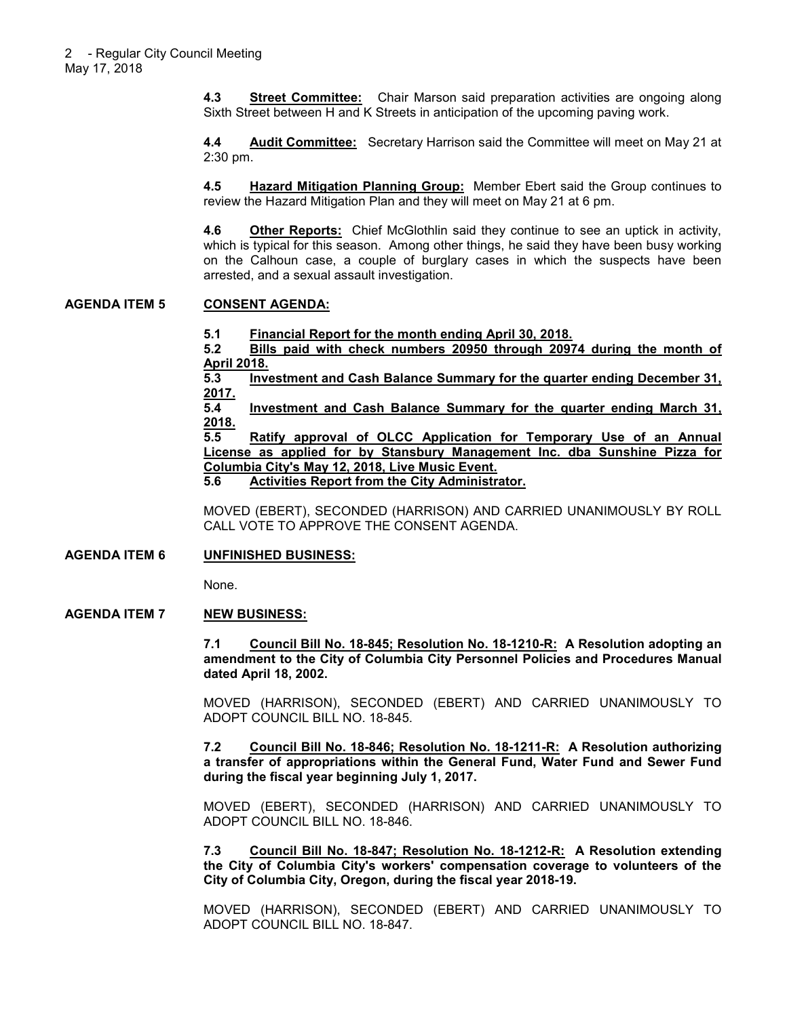**4.3 Street Committee:** Chair Marson said preparation activities are ongoing along Sixth Street between H and K Streets in anticipation of the upcoming paving work.

**4.4 Audit Committee:** Secretary Harrison said the Committee will meet on May 21 at 2:30 pm.

**4.5 Hazard Mitigation Planning Group:** Member Ebert said the Group continues to review the Hazard Mitigation Plan and they will meet on May 21 at 6 pm.

**4.6 Other Reports:** Chief McGlothlin said they continue to see an uptick in activity, which is typical for this season. Among other things, he said they have been busy working on the Calhoun case, a couple of burglary cases in which the suspects have been arrested, and a sexual assault investigation.

#### **AGENDA ITEM 5 CONSENT AGENDA:**

**5.1 Financial Report for the month ending April 30, 2018.**

**5.2 Bills paid with check numbers 20950 through 20974 during the month of April 2018.**<br>5.3 Inve

**5.3 Investment and Cash Balance Summary for the quarter ending December 31, 2017.**

**5.4 Investment and Cash Balance Summary for the quarter ending March 31, 2018.**

**5.5 Ratify approval of OLCC Application for Temporary Use of an Annual License as applied for by Stansbury Management Inc. dba Sunshine Pizza for Columbia City's May 12, 2018, Live Music Event.**

**5.6 Activities Report from the City Administrator.**

MOVED (EBERT), SECONDED (HARRISON) AND CARRIED UNANIMOUSLY BY ROLL CALL VOTE TO APPROVE THE CONSENT AGENDA.

#### **AGENDA ITEM 6 UNFINISHED BUSINESS:**

None.

#### **AGENDA ITEM 7 NEW BUSINESS:**

**7.1 Council Bill No. 18-845; Resolution No. 18-1210-R: A Resolution adopting an amendment to the City of Columbia City Personnel Policies and Procedures Manual dated April 18, 2002.** 

MOVED (HARRISON), SECONDED (EBERT) AND CARRIED UNANIMOUSLY TO ADOPT COUNCIL BILL NO. 18-845.

**7.2 Council Bill No. 18-846; Resolution No. 18-1211-R: A Resolution authorizing a transfer of appropriations within the General Fund, Water Fund and Sewer Fund during the fiscal year beginning July 1, 2017.** 

MOVED (EBERT), SECONDED (HARRISON) AND CARRIED UNANIMOUSLY TO ADOPT COUNCIL BILL NO. 18-846.

**7.3 Council Bill No. 18-847; Resolution No. 18-1212-R: A Resolution extending the City of Columbia City's workers' compensation coverage to volunteers of the City of Columbia City, Oregon, during the fiscal year 2018-19.** 

MOVED (HARRISON), SECONDED (EBERT) AND CARRIED UNANIMOUSLY TO ADOPT COUNCIL BILL NO. 18-847.